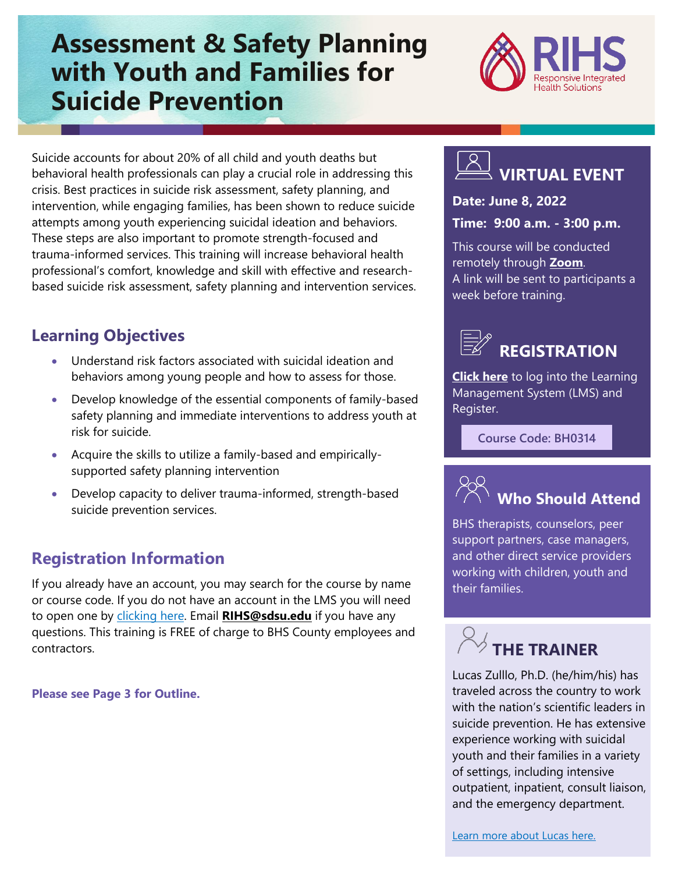# **Assessment & Safety Planning with Youth and Families for Suicide Prevention**



Suicide accounts for about 20% of all child and youth deaths but behavioral health professionals can play a crucial role in addressing this crisis. Best practices in suicide risk assessment, safety planning, and intervention, while engaging families, has been shown to reduce suicide attempts among youth experiencing suicidal ideation and behaviors. These steps are also important to promote strength-focused and trauma-informed services. This training will increase behavioral health professional's comfort, knowledge and skill with effective and researchbased suicide risk assessment, safety planning and intervention services.

# **Learning Objectives**

- Understand risk factors associated with suicidal ideation and behaviors among young people and how to assess for those.
- Develop knowledge of the essential components of family-based safety planning and immediate interventions to address youth at risk for suicide.
- Acquire the skills to utilize a family-based and empiricallysupported safety planning intervention
- Develop capacity to deliver trauma-informed, strength-based suicide prevention services.

# **Registration Information**

If you already have an account, you may search for the course by name or course code. If you do not have an account in the LMS you will need to open one by [clicking here.](https://sdsumbrs.az1.qualtrics.com/jfe/form/SV_0c75lYpeur5l9rv) Email **RIHS@sdsu.edu** if you have any questions. This training is FREE of charge to BHS County employees and contractors.

**Please see Page 3 for Outline.**



## **Date: June 8, 2022**

#### **Time: 9:00 a.m. - 3:00 p.m.**

This course will be conducted remotely through **[Zoom](https://zoom.us/)**. A link will be sent to participants a week before training.



**[Click here](https://academy.sumtotal.host/Broker/Account/Login.aspx?wtrealm=https%3a%2f%2fACADEMY.sumtotal.host%2fcore%2f&ReturnUrl=http%3a%2f%2facademy.sumtotal.host%2fBroker%2fToken%2fSaml11.ashx%3fwa%3dwsignin1.0%26wtrealm%3dhttps%253a%252f%252fACADEMY.sumtotal.host%252fcore%252f%26wreply%3dhttp%253a%252f%252facademy.sumtotal.host%252fcore%252f&IsHybridOrNativeClient=False&domainid=52160A28FC58BBBE7D714E075077AC76)** to log into the Learning Management System (LMS) and Register.

**Course Code: BH0314**



BHS therapists, counselors, peer support partners, case managers, and other direct service providers working with children, youth and their families.



Lucas Zulllo, Ph.D. (he/him/his) has traveled across the country to work with the nation's scientific leaders in suicide prevention. He has extensive experience working with suicidal youth and their families in a variety of settings, including intensive outpatient, inpatient, consult liaison, and the emergency department.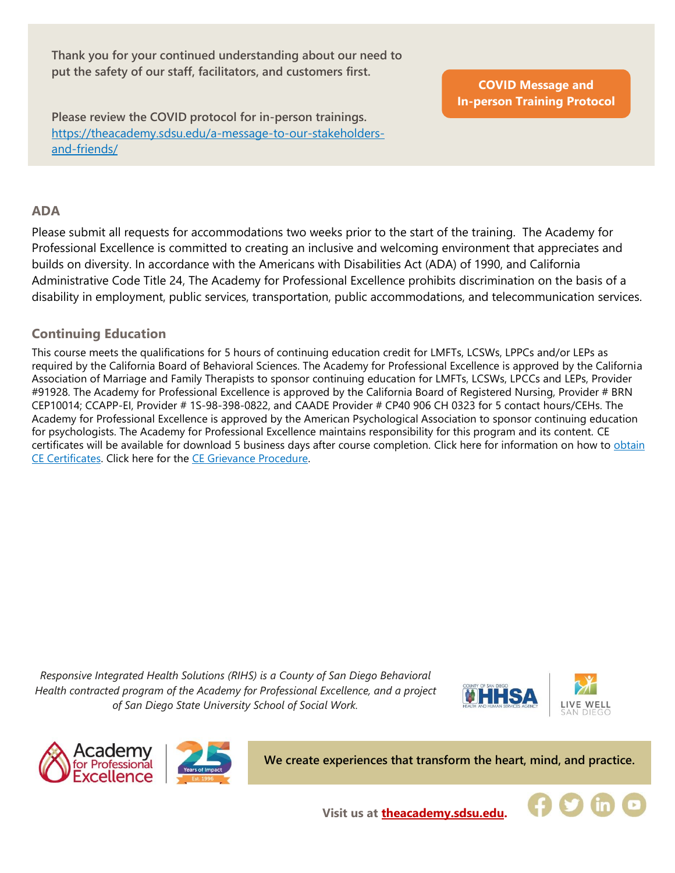**Thank you for your continued understanding about our need to put the safety of our staff, facilitators, and customers first.**

**COVID Message and [In-person Training Protocol](https://theacademy.sdsu.edu/a-message-to-our-stakeholders-and-friends/)**

**Please review the COVID protocol for in-person trainings.**  [https://theacademy.sdsu.edu/a-message-to-our-stakeholders](https://theacademy.sdsu.edu/a-message-to-our-stakeholders-and-friends/)[and-friends/](https://theacademy.sdsu.edu/a-message-to-our-stakeholders-and-friends/)

### **ADA**

Please submit all requests for accommodations two weeks prior to the start of the training. The Academy for Professional Excellence is committed to creating an inclusive and welcoming environment that appreciates and builds on diversity. In accordance with the Americans with Disabilities Act (ADA) of 1990, and California Administrative Code Title 24, The Academy for Professional Excellence prohibits discrimination on the basis of a disability in employment, public services, transportation, public accommodations, and telecommunication services.

#### **Continuing Education**

This course meets the qualifications for 5 hours of continuing education credit for LMFTs, LCSWs, LPPCs and/or LEPs as required by the California Board of Behavioral Sciences. The Academy for Professional Excellence is approved by the California Association of Marriage and Family Therapists to sponsor continuing education for LMFTs, LCSWs, LPCCs and LEPs, Provider #91928. The Academy for Professional Excellence is approved by the California Board of Registered Nursing, Provider # BRN CEP10014; CCAPP-EI, Provider # 1S-98-398-0822, and CAADE Provider # CP40 906 CH 0323 for 5 contact hours/CEHs. The Academy for Professional Excellence is approved by the American Psychological Association to sponsor continuing education for psychologists. The Academy for Professional Excellence maintains responsibility for this program and its content. CE certificates will be available for download 5 business days after course completion. Click here for information on how to [obtain](https://theacademy.sdsu.edu/programs/rihs/rihs-faq/)  [CE Certificates.](https://theacademy.sdsu.edu/programs/rihs/rihs-faq/) Click here for the [CE Grievance Procedure.](https://drive.google.com/file/d/10H4zN0gLatK2hP5SJpe0HTZkZpYm8GRj/view)

*Responsive Integrated Health Solutions (RIHS) is a County of San Diego Behavioral Health contracted program of the Academy for Professional Excellence, and a project of San Diego State University School of Social Work.*







**We create experiences that transform the heart, mind, and practice.**



**Visit us at [theacademy.sdsu.edu.](https://theacademy.sdsu.edu/)**